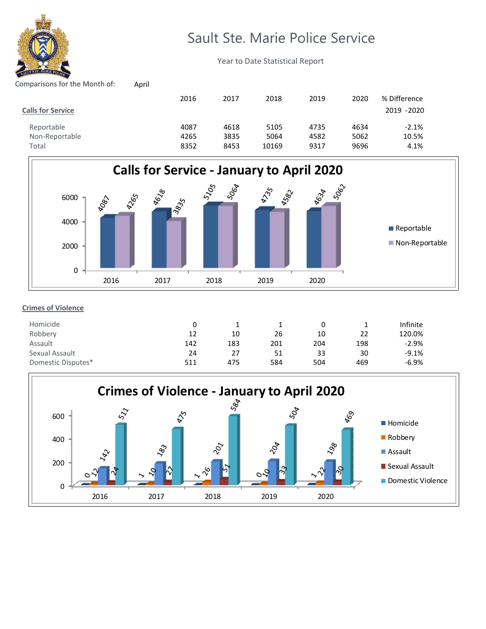

# Sault Ste. Marie Police Service

Year to Date Statistical Report

# Comparisons for the Month of: April

| <b>Calls for Service</b> | 2016 | 2017 | 2018  | 2019 | 2020 | % Difference<br>2019 - 2020 |
|--------------------------|------|------|-------|------|------|-----------------------------|
| Reportable               | 4087 | 4618 | 5105  | 4735 | 4634 | $-2.1%$                     |
| Non-Reportable           | 4265 | 3835 | 5064  | 4582 | 5062 | 10.5%                       |
| Total                    | 8352 | 8453 | 10169 | 9317 | 9696 | 4.1%                        |



## **Crimes of Violence**

| Homicide           |     |     |     |     |     | Infinite |
|--------------------|-----|-----|-----|-----|-----|----------|
| Robbery            | 12  | 10  | 26  | 10  | 22  | 120.0%   |
| Assault            | 142 | 183 | 201 | 204 | 198 | $-2.9%$  |
| Sexual Assault     | 24  | 27  | 51  | 33  | 30  | $-9.1%$  |
| Domestic Disputes* | 511 | 475 | 584 | 504 | 469 | $-6.9%$  |